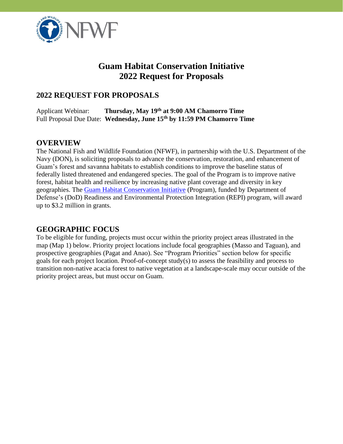

# **Guam Habitat Conservation Initiative 2022 Request for Proposals**

# **2022 REQUEST FOR PROPOSALS**

Applicant Webinar: **Thursday, May 19th at 9:00 AM Chamorro Time** Full Proposal Due Date: **Wednesday, June 15th by 11:59 PM Chamorro Time**

# **OVERVIEW**

The National Fish and Wildlife Foundation (NFWF), in partnership with the U.S. Department of the Navy (DON), is soliciting proposals to advance the conservation, restoration, and enhancement of Guam's forest and savanna habitats to establish conditions to improve the baseline status of federally listed threatened and endangered species. The goal of the Program is to improve native forest, habitat health and resilience by increasing native plant coverage and diversity in key geographies. The [Guam Habitat Conservation Initiative](https://www.nfwf.org/programs/guam-habitat-conservation-initiative) (Program), funded by Department of Defense's (DoD) Readiness and Environmental Protection Integration (REPI) program, will award up to \$3.2 million in grants.

# **GEOGRAPHIC FOCUS**

To be eligible for funding, projects must occur within the priority project areas illustrated in the map (Map 1) below. Priority project locations include focal geographies (Masso and Taguan), and prospective geographies (Pagat and Anao). See "Program Priorities" section below for specific goals for each project location. Proof-of-concept study(s) to assess the feasibility and process to transition non-native acacia forest to native vegetation at a landscape-scale may occur outside of the priority project areas, but must occur on Guam.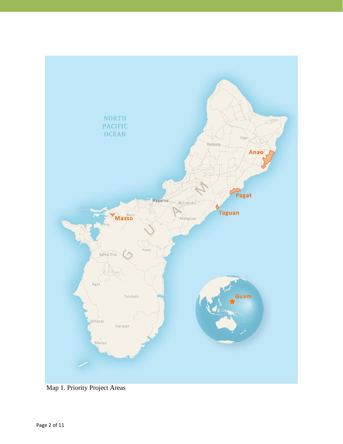

Map 1. Priority Project Areas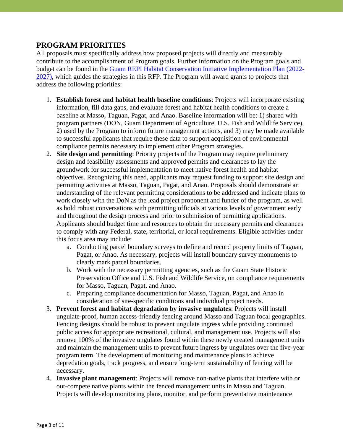## **PROGRAM PRIORITIES**

All proposals must specifically address how proposed projects will directly and measurably contribute to the accomplishment of Program goals. Further information on the Program goals and budget can be found in the [Guam REPI Habitat Conservation Initiative Implementation Plan \(2022-](https://www.nfwf.org/sites/default/files/2022-04/guam-REPI-implementation-plan.pdf) [2027\),](https://www.nfwf.org/sites/default/files/2022-04/guam-REPI-implementation-plan.pdf) which guides the strategies in this RFP. The Program will award grants to projects that address the following priorities:

- 1. **Establish forest and habitat health baseline conditions**: Projects will incorporate existing information, fill data gaps, and evaluate forest and habitat health conditions to create a baseline at Masso, Taguan, Pagat, and Anao. Baseline information will be: 1) shared with program partners (DON, Guam Department of Agriculture, U.S. Fish and Wildlife Service), 2) used by the Program to inform future management actions, and 3) may be made available to successful applicants that require these data to support acquisition of environmental compliance permits necessary to implement other Program strategies.
- 2. **Site design and permitting**: Priority projects of the Program may require preliminary design and feasibility assessments and approved permits and clearances to lay the groundwork for successful implementation to meet native forest health and habitat objectives. Recognizing this need, applicants may request funding to support site design and permitting activities at Masso, Taguan, Pagat, and Anao. Proposals should demonstrate an understanding of the relevant permitting considerations to be addressed and indicate plans to work closely with the DoN as the lead project proponent and funder of the program, as well as hold robust conversations with permitting officials at various levels of government early and throughout the design process and prior to submission of permitting applications. Applicants should budget time and resources to obtain the necessary permits and clearances to comply with any Federal, state, territorial, or local requirements. Eligible activities under this focus area may include:
	- a. Conducting parcel boundary surveys to define and record property limits of Taguan, Pagat, or Anao. As necessary, projects will install boundary survey monuments to clearly mark parcel boundaries.
	- b. Work with the necessary permitting agencies, such as the Guam State Historic Preservation Office and U.S. Fish and Wildlife Service, on compliance requirements for Masso, Taguan, Pagat, and Anao.
	- c. Preparing compliance documentation for Masso, Taguan, Pagat, and Anao in consideration of site-specific conditions and individual project needs.
- 3. **Prevent forest and habitat degradation by invasive ungulates**: Projects will install ungulate-proof, human access-friendly fencing around Masso and Taguan focal geographies. Fencing designs should be robust to prevent ungulate ingress while providing continued public access for appropriate recreational, cultural, and management use. Projects will also remove 100% of the invasive ungulates found within these newly created management units and maintain the management units to prevent future ingress by ungulates over the five-year program term. The development of monitoring and maintenance plans to achieve depredation goals, track progress, and ensure long-term sustainability of fencing will be necessary.
- 4. **Invasive plant management**: Projects will remove non-native plants that interfere with or out-compete native plants within the fenced management units in Masso and Taguan. Projects will develop monitoring plans, monitor, and perform preventative maintenance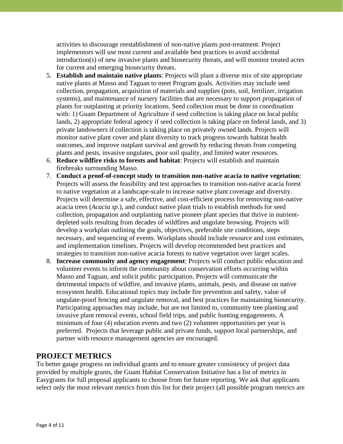activities to discourage reestablishment of non-native plants post-treatment. Project implementors will use most current and available best practices to avoid accidental introduction(s) of new invasive plants and biosecurity threats, and will monitor treated acres for current and emerging biosecurity threats.

- 5. **Establish and maintain native plants**: Projects will plant a diverse mix of site appropriate native plants at Masso and Taguan to meet Program goals. Activities may include seed collection, propagation, acquisition of materials and supplies (pots, soil, fertilizer, irrigation systems), and maintenance of nursery facilities that are necessary to support propagation of plants for outplanting at priority locations. Seed collection must be done in coordination with: 1) Guam Department of Agriculture if seed collection is taking place on local public lands, 2) appropriate federal agency if seed collection is taking place on federal lands, and 3) private landowners if collection is taking place on privately owned lands. Projects will monitor native plant cover and plant diversity to track progress towards habitat health outcomes, and improve outplant survival and growth by reducing threats from competing plants and pests, invasive ungulates, poor soil quality, and limited water resources.
- 6. **Reduce wildfire risks to forests and habitat**: Projects will establish and maintain firebreaks surrounding Masso.
- 7. **Conduct a proof-of-concept study to transition non-native acacia to native vegetation**: Projects will assess the feasibility and test approaches to transition non-native acacia forest to native vegetation at a landscape-scale to increase native plant coverage and diversity. Projects will determine a safe, effective, and cost-efficient process for removing non-native acacia trees (*Acacia sp.*), and conduct native plant trials to establish methods for seed collection, propagation and outplanting native pioneer plant species that thrive in nutrientdepleted soils resulting from decades of wildfires and ungulate browsing. Projects will develop a workplan outlining the goals, objectives, preferable site conditions, steps necessary, and sequencing of events. Workplans should include resource and cost estimates, and implementation timelines. Projects will develop recommended best practices and strategies to transition non-native acacia forests to native vegetation over larger scales.
- 8. **Increase community and agency engagement**: Projects will conduct public education and volunteer events to inform the community about conservation efforts occurring within Masso and Taguan, and solicit public participation. Projects will communicate the detrimental impacts of wildfire, and invasive plants, animals, pests, and disease on native ecosystem health. Educational topics may include fire prevention and safety, value of ungulate-proof fencing and ungulate removal, and best practices for maintaining biosecurity. Participating approaches may include, but are not limited to, community tree planting and invasive plant removal events, school field trips, and public hunting engagements. A minimum of four (4) education events and two (2) volunteer opportunities per year is preferred. Projects that leverage public and private funds, support local partnerships, and partner with resource management agencies are encouraged.

## **PROJECT METRICS**

To better gauge progress on individual grants and to ensure greater consistency of project data provided by multiple grants, the Guam Habitat Conservation Initiative has a list of metrics in Easygrants for full proposal applicants to choose from for future reporting. We ask that applicants select only the most relevant metrics from this list for their project (all possible program metrics are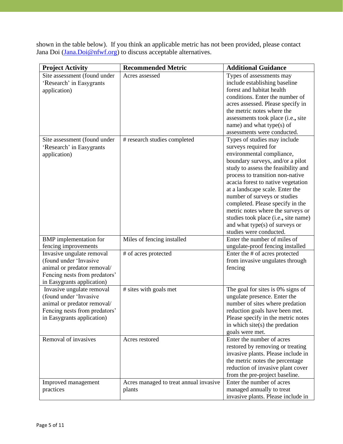shown in the table below). If you think an applicable metric has not been provided, please contact Jana Doi [\(Jana.Doi@nfwf.org\)](mailto:Jana.Doi@nfwf.org) to discuss acceptable alternatives.

| <b>Project Activity</b>          | <b>Recommended Metric</b>              | <b>Additional Guidance</b>                                            |
|----------------------------------|----------------------------------------|-----------------------------------------------------------------------|
| Site assessment (found under     | Acres assessed                         | Types of assessments may                                              |
| 'Research' in Easygrants         |                                        | include establishing baseline                                         |
| application)                     |                                        | forest and habitat health                                             |
|                                  |                                        | conditions. Enter the number of                                       |
|                                  |                                        | acres assessed. Please specify in                                     |
|                                  |                                        | the metric notes where the                                            |
|                                  |                                        | assessments took place (i.e., site                                    |
|                                  |                                        | name) and what type(s) of                                             |
|                                  |                                        | assessments were conducted.                                           |
| Site assessment (found under     | # research studies completed           | Types of studies may include                                          |
| 'Research' in Easygrants         |                                        | surveys required for                                                  |
| application)                     |                                        | environmental compliance,                                             |
|                                  |                                        | boundary surveys, and/or a pilot                                      |
|                                  |                                        | study to assess the feasibility and                                   |
|                                  |                                        | process to transition non-native                                      |
|                                  |                                        | acacia forest to native vegetation<br>at a landscape scale. Enter the |
|                                  |                                        | number of surveys or studies                                          |
|                                  |                                        | completed. Please specify in the                                      |
|                                  |                                        | metric notes where the surveys or                                     |
|                                  |                                        | studies took place (i.e., site name)                                  |
|                                  |                                        | and what type(s) of surveys or                                        |
|                                  |                                        | studies were conducted.                                               |
| <b>BMP</b> implementation for    | Miles of fencing installed             | Enter the number of miles of                                          |
| fencing improvements             |                                        | ungulate-proof fencing installed                                      |
| Invasive ungulate removal        | # of acres protected                   | Enter the # of acres protected                                        |
| (found under 'Invasive           |                                        | from invasive ungulates through                                       |
| animal or predator removal/      |                                        | fencing                                                               |
| Fencing nests from predators'    |                                        |                                                                       |
| in Easygrants application)       |                                        |                                                                       |
| Invasive ungulate removal        | # sites with goals met                 | The goal for sites is 0% signs of                                     |
| (found under 'Invasive           |                                        | ungulate presence. Enter the                                          |
| animal or predator removal/      |                                        | number of sites where predation                                       |
| Fencing nests from predators'    |                                        | reduction goals have been met.                                        |
| in Easygrants application)       |                                        | Please specify in the metric notes                                    |
|                                  |                                        | in which site(s) the predation                                        |
|                                  |                                        | goals were met.                                                       |
| Removal of invasives             | Acres restored                         | Enter the number of acres                                             |
|                                  |                                        | restored by removing or treating                                      |
|                                  |                                        | invasive plants. Please include in                                    |
|                                  |                                        | the metric notes the percentage                                       |
|                                  |                                        | reduction of invasive plant cover                                     |
|                                  |                                        | from the pre-project baseline.<br>Enter the number of acres           |
| Improved management<br>practices | Acres managed to treat annual invasive | managed annually to treat                                             |
|                                  | plants                                 | invasive plants. Please include in                                    |
|                                  |                                        |                                                                       |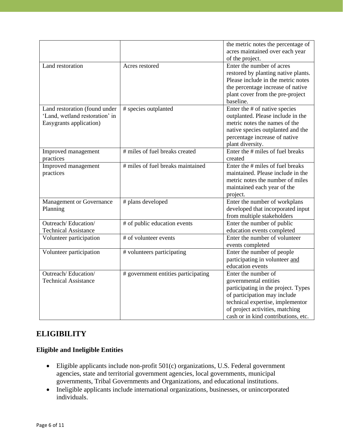|                                                                                            |                                     | the metric notes the percentage of<br>acres maintained over each year<br>of the project.                                                                                                                                          |
|--------------------------------------------------------------------------------------------|-------------------------------------|-----------------------------------------------------------------------------------------------------------------------------------------------------------------------------------------------------------------------------------|
| Land restoration                                                                           | Acres restored                      | Enter the number of acres<br>restored by planting native plants.<br>Please include in the metric notes<br>the percentage increase of native<br>plant cover from the pre-project<br>baseline.                                      |
| Land restoration (found under<br>'Land, wetland restoration' in<br>Easygrants application) | # species outplanted                | Enter the # of native species<br>outplanted. Please include in the<br>metric notes the names of the<br>native species outplanted and the<br>percentage increase of native<br>plant diversity.                                     |
| Improved management<br>practices                                                           | # miles of fuel breaks created      | Enter the # miles of fuel breaks<br>created                                                                                                                                                                                       |
| Improved management<br>practices                                                           | # miles of fuel breaks maintained   | Enter the # miles of fuel breaks<br>maintained. Please include in the<br>metric notes the number of miles<br>maintained each year of the<br>project.                                                                              |
| <b>Management or Governance</b><br>Planning                                                | # plans developed                   | Enter the number of workplans<br>developed that incorporated input<br>from multiple stakeholders                                                                                                                                  |
| Outreach/Education/<br><b>Technical Assistance</b>                                         | # of public education events        | Enter the number of public<br>education events completed                                                                                                                                                                          |
| Volunteer participation                                                                    | # of volunteer events               | Enter the number of volunteer<br>events completed                                                                                                                                                                                 |
| Volunteer participation                                                                    | # volunteers participating          | Enter the number of people<br>participating in volunteer and<br>education events                                                                                                                                                  |
| Outreach/Education/<br><b>Technical Assistance</b>                                         | # government entities participating | Enter the number of<br>governmental entities<br>participating in the project. Types<br>of participation may include<br>technical expertise, implementor<br>of project activities, matching<br>cash or in kind contributions, etc. |

# **ELIGIBILITY**

### **Eligible and Ineligible Entities**

- Eligible applicants include non-profit 501(c) organizations, U.S. Federal government agencies, state and territorial government agencies, local governments, municipal governments, Tribal Governments and Organizations, and educational institutions.
- Ineligible applicants include international organizations, businesses, or unincorporated individuals.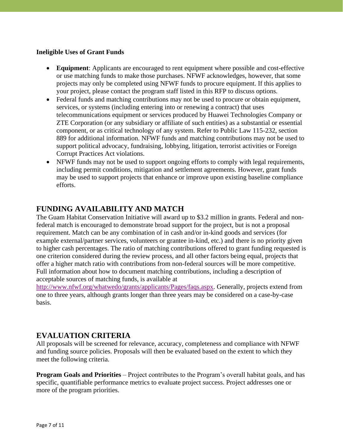#### **Ineligible Uses of Grant Funds**

- **Equipment**: Applicants are encouraged to rent equipment where possible and cost-effective or use matching funds to make those purchases. NFWF acknowledges, however, that some projects may only be completed using NFWF funds to procure equipment. If this applies to your project, please contact the program staff listed in this RFP to discuss options.
- Federal funds and matching contributions may not be used to procure or obtain equipment, services, or systems (including entering into or renewing a contract) that uses telecommunications equipment or services produced by Huawei Technologies Company or ZTE Corporation (or any subsidiary or affiliate of such entities) as a substantial or essential component, or as critical technology of any system. Refer to Public Law 115-232, section 889 for additional information. NFWF funds and matching contributions may not be used to support political advocacy, fundraising, lobbying, litigation, terrorist activities or Foreign Corrupt Practices Act violations.
- NFWF funds may not be used to support ongoing efforts to comply with legal requirements, including permit conditions, mitigation and settlement agreements. However, grant funds may be used to support projects that enhance or improve upon existing baseline compliance efforts.

# **FUNDING AVAILABILITY AND MATCH**

The Guam Habitat Conservation Initiative will award up to \$3.2 million in grants. Federal and nonfederal match is encouraged to demonstrate broad support for the project, but is not a proposal requirement. Match can be any combination of in cash and/or in-kind goods and services (for example external/partner services, volunteers or grantee in-kind, etc.) and there is no priority given to higher cash percentages. The ratio of matching contributions offered to grant funding requested is one criterion considered during the review process, and all other factors being equal, projects that offer a higher match ratio with contributions from non-federal sources will be more competitive. Full information about how to document matching contributions, including a description of acceptable sources of matching funds, is available at

[http://www.nfwf.org/whatwedo/grants/applicants/Pages/faqs.aspx.](http://www.nfwf.org/whatwedo/grants/applicants/Pages/faqs.aspx) Generally, projects extend from one to three years, although grants longer than three years may be considered on a case-by-case basis.

## **EVALUATION CRITERIA**

All proposals will be screened for relevance, accuracy, completeness and compliance with NFWF and funding source policies. Proposals will then be evaluated based on the extent to which they meet the following criteria.

**Program Goals and Priorities** – Project contributes to the Program's overall habitat goals, and has specific, quantifiable performance metrics to evaluate project success. Project addresses one or more of the program priorities.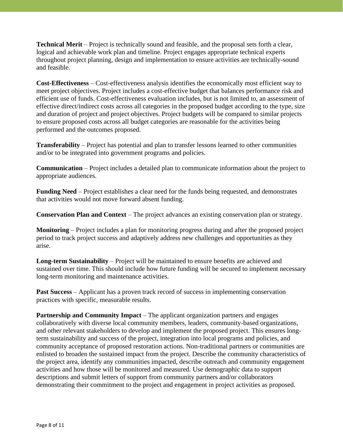**Technical Merit** – Project is technically sound and feasible, and the proposal sets forth a clear, logical and achievable work plan and timeline. Project engages appropriate technical experts throughout project planning, design and implementation to ensure activities are technically-sound and feasible.

**Cost-Effectiveness** – Cost-effectiveness analysis identifies the economically most efficient way to meet project objectives. Project includes a cost-effective budget that balances performance risk and efficient use of funds. Cost-effectiveness evaluation includes, but is not limited to, an assessment of effective direct/indirect costs across all categories in the proposed budget according to the type, size and duration of project and project objectives. Project budgets will be compared to similar projects to ensure proposed costs across all budget categories are reasonable for the activities being performed and the outcomes proposed.

**Transferability** – Project has potential and plan to transfer lessons learned to other communities and/or to be integrated into government programs and policies.

**Communication** – Project includes a detailed plan to communicate information about the project to appropriate audiences.

**Funding Need** – Project establishes a clear need for the funds being requested, and demonstrates that activities would not move forward absent funding.

**Conservation Plan and Context** – The project advances an existing conservation plan or strategy.

**Monitoring** – Project includes a plan for monitoring progress during and after the proposed project period to track project success and adaptively address new challenges and opportunities as they arise.

**Long-term Sustainability** – Project will be maintained to ensure benefits are achieved and sustained over time. This should include how future funding will be secured to implement necessary long-term monitoring and maintenance activities.

**Past Success** – Applicant has a proven track record of success in implementing conservation practices with specific, measurable results.

**Partnership and Community Impact** – The applicant organization partners and engages collaboratively with diverse local community members, leaders, community-based organizations, and other relevant stakeholders to develop and implement the proposed project. This ensures longterm sustainability and success of the project, integration into local programs and policies, and community acceptance of proposed restoration actions. Non-traditional partners or communities are enlisted to broaden the sustained impact from the project. Describe the community characteristics of the project area, identify any communities impacted, describe outreach and community engagement activities and how those will be monitored and measured. Use demographic data to support descriptions and submit letters of support from community partners and/or collaborators demonstrating their commitment to the project and engagement in project activities as proposed.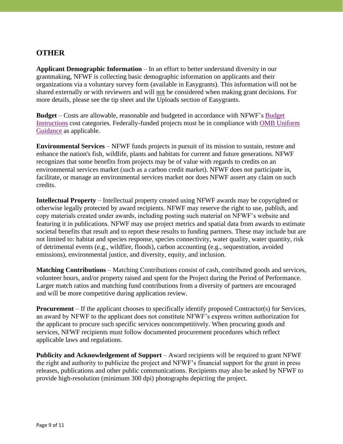# **OTHER**

**Applicant Demographic Information** – In an effort to better understand diversity in our grantmaking, NFWF is collecting basic demographic information on applicants and their organizations via a voluntary survey form (available in Easygrants). This information will not be shared externally or with reviewers and will not be considered when making grant decisions. For more details, please see the tip sheet and the Uploads section of Easygrants.

**Budget** – Costs are allowable, reasonable and budgeted in accordance with NFWF's [Budget](https://www.nfwf.org/apply-grant/application-information/budget-instructions)  [Instructions](https://www.nfwf.org/apply-grant/application-information/budget-instructions) cost categories. Federally-funded projects must be in compliance with [OMB Uniform](http://www.ecfr.gov/cgi-bin/text-idx?SID=704835d27377ef5213a51c149de40cab&node=2:1.1.2.2.1&rgn=div5)  [Guidance](http://www.ecfr.gov/cgi-bin/text-idx?SID=704835d27377ef5213a51c149de40cab&node=2:1.1.2.2.1&rgn=div5) as applicable.

**Environmental Services** – NFWF funds projects in pursuit of its mission to sustain, restore and enhance the nation's fish, wildlife, plants and habitats for current and future generations. NFWF recognizes that some benefits from projects may be of value with regards to credits on an environmental services market (such as a carbon credit market). NFWF does not participate in, facilitate, or manage an environmental services market nor does NFWF assert any claim on such credits.

**Intellectual Property** – Intellectual property created using NFWF awards may be copyrighted or otherwise legally protected by award recipients. NFWF may reserve the right to use, publish, and copy materials created under awards, including posting such material on NFWF's website and featuring it in publications. NFWF may use project metrics and spatial data from awards to estimate societal benefits that result and to report these results to funding partners. These may include but are not limited to: habitat and species response, species connectivity, water quality, water quantity, risk of detrimental events (e.g., wildfire, floods), carbon accounting (e.g., sequestration, avoided emissions), environmental justice, and diversity, equity, and inclusion.

**Matching Contributions** – Matching Contributions consist of cash, contributed goods and services, volunteer hours, and/or property raised and spent for the Project during the Period of Performance. Larger match ratios and matching fund contributions from a diversity of partners are encouraged and will be more competitive during application review.

**Procurement** – If the applicant chooses to specifically identify proposed Contractor(s) for Services, an award by NFWF to the applicant does not constitute NFWF's express written authorization for the applicant to procure such specific services noncompetitively. When procuring goods and services, NFWF recipients must follow documented procurement procedures which reflect applicable laws and regulations.

**Publicity and Acknowledgement of Support** – Award recipients will be required to grant NFWF the right and authority to publicize the project and NFWF's financial support for the grant in press releases, publications and other public communications. Recipients may also be asked by NFWF to provide high-resolution (minimum 300 dpi) photographs depicting the project.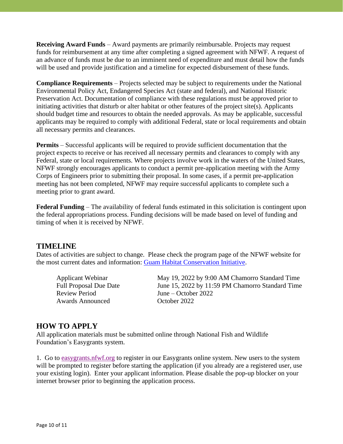**Receiving Award Funds** – Award payments are primarily reimbursable. Projects may request funds for reimbursement at any time after completing a signed agreement with NFWF. A request of an advance of funds must be due to an imminent need of expenditure and must detail how the funds will be used and provide justification and a timeline for expected disbursement of these funds.

**Compliance Requirements** – Projects selected may be subject to requirements under the National Environmental Policy Act, Endangered Species Act (state and federal), and National Historic Preservation Act. Documentation of compliance with these regulations must be approved prior to initiating activities that disturb or alter habitat or other features of the project site(s). Applicants should budget time and resources to obtain the needed approvals. As may be applicable, successful applicants may be required to comply with additional Federal, state or local requirements and obtain all necessary permits and clearances.

**Permits** – Successful applicants will be required to provide sufficient documentation that the project expects to receive or has received all necessary permits and clearances to comply with any Federal, state or local requirements. Where projects involve work in the waters of the United States, NFWF strongly encourages applicants to conduct a permit pre-application meeting with the Army Corps of Engineers prior to submitting their proposal. In some cases, if a permit pre-application meeting has not been completed, NFWF may require successful applicants to complete such a meeting prior to grant award.

**Federal Funding** – The availability of federal funds estimated in this solicitation is contingent upon the federal appropriations process. Funding decisions will be made based on level of funding and timing of when it is received by NFWF.

## **TIMELINE**

Dates of activities are subject to change. Please check the program page of the NFWF website for the most current dates and information: [Guam Habitat Conservation Initiative.](https://www.nfwf.org/programs/guam-habitat-conservation-initiative)

Review Period June – October 2022 Awards Announced October 2022

Applicant Webinar May 19, 2022 by 9:00 AM Chamorro Standard Time Full Proposal Due Date June 15, 2022 by 11:59 PM Chamorro Standard Time

## **HOW TO APPLY**

All application materials must be submitted online through National Fish and Wildlife Foundation's Easygrants system.

1. Go to [easygrants.nfwf.org](https://easygrants.nfwf.org/) to register in our Easygrants online system. New users to the system will be prompted to register before starting the application (if you already are a registered user, use your existing login). Enter your applicant information. Please disable the pop-up blocker on your internet browser prior to beginning the application process.